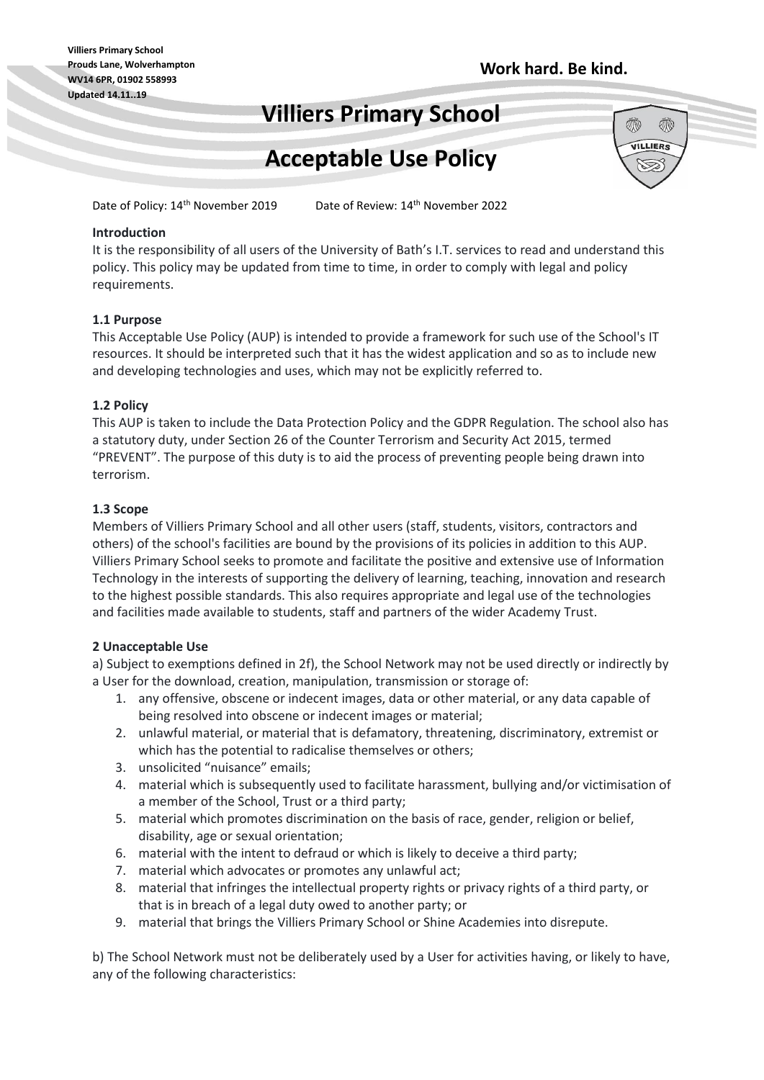Ŵ

Ŵ VILLIERS

# **Villiers Primary School**

# **Acceptable Use Policy**

Date of Policy: 14<sup>th</sup> November 2019

Date of Review: 14<sup>th</sup> November 2022

# **Introduction**

It is the responsibility of all users of the University of Bath's I.T. services to read and understand this policy. This policy may be updated from time to time, in order to comply with legal and policy requirements.

#### **1.1 Purpose**

This Acceptable Use Policy (AUP) is intended to provide a framework for such use of the School's IT resources. It should be interpreted such that it has the widest application and so as to include new and developing technologies and uses, which may not be explicitly referred to.

#### **1.2 Policy**

This AUP is taken to include the Data Protection Policy and the GDPR Regulation. The school also has a statutory duty, under Section 26 of the Counter Terrorism and Security Act 2015, termed "PREVENT". The purpose of this duty is to aid the process of preventing people being drawn into terrorism.

#### **1.3 Scope**

Members of Villiers Primary School and all other users (staff, students, visitors, contractors and others) of the school's facilities are bound by the provisions of its policies in addition to this AUP. Villiers Primary School seeks to promote and facilitate the positive and extensive use of Information Technology in the interests of supporting the delivery of learning, teaching, innovation and research to the highest possible standards. This also requires appropriate and legal use of the technologies and facilities made available to students, staff and partners of the wider Academy Trust.

# **2 Unacceptable Use**

a) Subject to exemptions defined in 2f), the School Network may not be used directly or indirectly by a User for the download, creation, manipulation, transmission or storage of:

- 1. any offensive, obscene or indecent images, data or other material, or any data capable of being resolved into obscene or indecent images or material;
- 2. unlawful material, or material that is defamatory, threatening, discriminatory, extremist or which has the potential to radicalise themselves or others;
- 3. unsolicited "nuisance" emails;
- 4. material which is subsequently used to facilitate harassment, bullying and/or victimisation of a member of the School, Trust or a third party;
- 5. material which promotes discrimination on the basis of race, gender, religion or belief, disability, age or sexual orientation;
- 6. material with the intent to defraud or which is likely to deceive a third party;
- 7. material which advocates or promotes any unlawful act;
- 8. material that infringes the intellectual property rights or privacy rights of a third party, or that is in breach of a legal duty owed to another party; or
- 9. material that brings the Villiers Primary School or Shine Academies into disrepute.

b) The School Network must not be deliberately used by a User for activities having, or likely to have, any of the following characteristics: